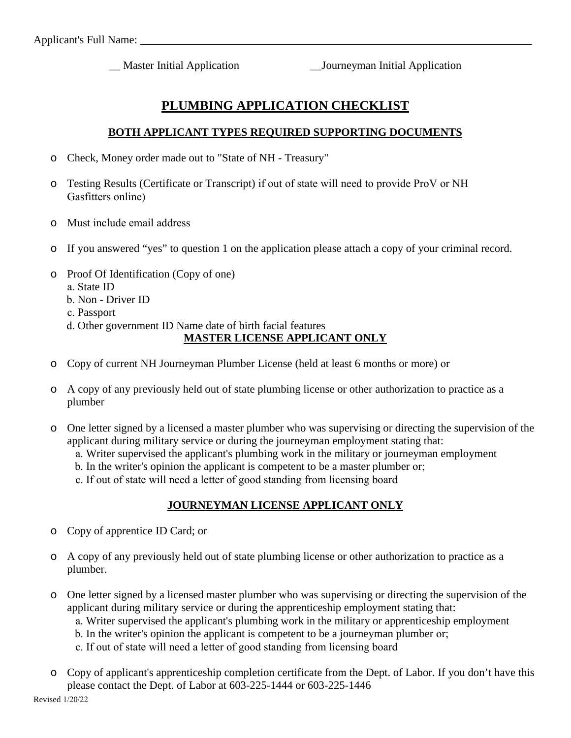\_\_ Master Initial Application \_\_Journeyman Initial Application

# **PLUMBING APPLICATION CHECKLIST**

### **BOTH APPLICANT TYPES REQUIRED SUPPORTING DOCUMENTS**

- o Check, Money order made out to "State of NH Treasury"
- o Testing Results (Certificate or Transcript) if out of state will need to provide ProV or NH Gasfitters online)
- o Must include email address
- o If you answered "yes" to question 1 on the application please attach a copy of your criminal record.
- o Proof Of Identification (Copy of one)
	- a. State ID
	- b. Non Driver ID
	- c. Passport
	- d. Other government ID Name date of birth facial features

## **MASTER LICENSE APPLICANT ONLY**

- o Copy of current NH Journeyman Plumber License (held at least 6 months or more) or
- o A copy of any previously held out of state plumbing license or other authorization to practice as a plumber
- o One letter signed by a licensed a master plumber who was supervising or directing the supervision of the applicant during military service or during the journeyman employment stating that:
	- a. Writer supervised the applicant's plumbing work in the military or journeyman employment
	- b. In the writer's opinion the applicant is competent to be a master plumber or;
	- c. If out of state will need a letter of good standing from licensing board

#### **JOURNEYMAN LICENSE APPLICANT ONLY**

- o Copy of apprentice ID Card; or
- o A copy of any previously held out of state plumbing license or other authorization to practice as a plumber.
- o One letter signed by a licensed master plumber who was supervising or directing the supervision of the applicant during military service or during the apprenticeship employment stating that:
	- a. Writer supervised the applicant's plumbing work in the military or apprenticeship employment
	- b. In the writer's opinion the applicant is competent to be a journeyman plumber or;
	- c. If out of state will need a letter of good standing from licensing board
- o Copy of applicant's apprenticeship completion certificate from the Dept. of Labor. If you don't have this please contact the Dept. of Labor at 603-225-1444 or 603-225-1446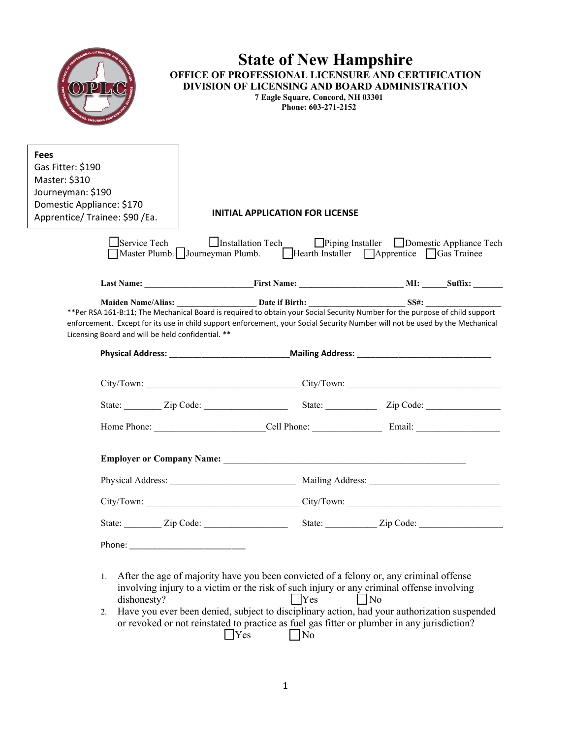|                                                                                                                                     | <b>State of New Hampshire</b><br>OFFICE OF PROFESSIONAL LICENSURE AND CERTIFICATION<br>DIVISION OF LICENSING AND BOARD ADMINISTRATION<br>7 Eagle Square, Concord, NH 03301<br>Phone: 603-271-2152 |                                                              |
|-------------------------------------------------------------------------------------------------------------------------------------|---------------------------------------------------------------------------------------------------------------------------------------------------------------------------------------------------|--------------------------------------------------------------|
| <b>Fees</b><br>Gas Fitter: \$190<br>Master: \$310<br>Journeyman: \$190<br>Domestic Appliance: \$170<br>Apprentice/Trainee: \$90/Ea. | <b>INITIAL APPLICATION FOR LICENSE</b>                                                                                                                                                            |                                                              |
| Service Tech                                                                                                                        | □Installation Tech □Piping Installer □Domestic Appliance Tech<br>Master Plumb. Journeyman Plumb.                                                                                                  | $\Box$ Hearth Installer $\Box$ Apprentice $\Box$ Gas Trainee |
|                                                                                                                                     |                                                                                                                                                                                                   |                                                              |
| Licensing Board and will be held confidential. **                                                                                   | enforcement. Except for its use in child support enforcement, your Social Security Number will not be used by the Mechanical                                                                      |                                                              |
|                                                                                                                                     |                                                                                                                                                                                                   | Physical Address: Mailing Address: Mailing Address:          |
|                                                                                                                                     |                                                                                                                                                                                                   |                                                              |
|                                                                                                                                     |                                                                                                                                                                                                   |                                                              |
|                                                                                                                                     |                                                                                                                                                                                                   |                                                              |
|                                                                                                                                     |                                                                                                                                                                                                   |                                                              |
|                                                                                                                                     |                                                                                                                                                                                                   |                                                              |
|                                                                                                                                     |                                                                                                                                                                                                   |                                                              |
|                                                                                                                                     |                                                                                                                                                                                                   |                                                              |